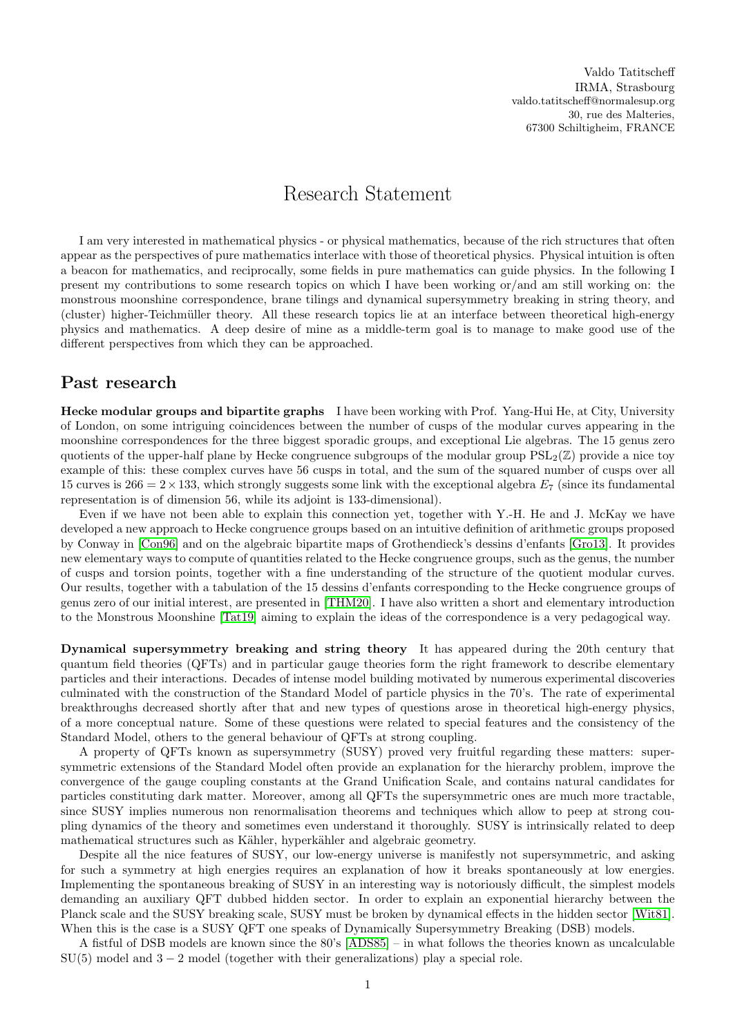Valdo Tatitscheff IRMA, Strasbourg valdo.tatitscheff@normalesup.org 30, rue des Malteries, 67300 Schiltigheim, FRANCE

## Research Statement

I am very interested in mathematical physics - or physical mathematics, because of the rich structures that often appear as the perspectives of pure mathematics interlace with those of theoretical physics. Physical intuition is often a beacon for mathematics, and reciprocally, some fields in pure mathematics can guide physics. In the following I present my contributions to some research topics on which I have been working or/and am still working on: the monstrous moonshine correspondence, brane tilings and dynamical supersymmetry breaking in string theory, and (cluster) higher-Teichmüller theory. All these research topics lie at an interface between theoretical high-energy physics and mathematics. A deep desire of mine as a middle-term goal is to manage to make good use of the different perspectives from which they can be approached.

## Past research

Hecke modular groups and bipartite graphs I have been working with Prof. Yang-Hui He, at City, University of London, on some intriguing coincidences between the number of cusps of the modular curves appearing in the moonshine correspondences for the three biggest sporadic groups, and exceptional Lie algebras. The 15 genus zero quotients of the upper-half plane by Hecke congruence subgroups of the modular group  $PSL_2(\mathbb{Z})$  provide a nice toy example of this: these complex curves have 56 cusps in total, and the sum of the squared number of cusps over all 15 curves is  $266 = 2 \times 133$ , which strongly suggests some link with the exceptional algebra  $E_7$  (since its fundamental representation is of dimension 56, while its adjoint is 133-dimensional).

Even if we have not been able to explain this connection yet, together with Y.-H. He and J. McKay we have developed a new approach to Hecke congruence groups based on an intuitive definition of arithmetic groups proposed by Conway in [\[Con96\]](#page-3-0) and on the algebraic bipartite maps of Grothendieck's dessins d'enfants [\[Gro13\]](#page-4-0). It provides new elementary ways to compute of quantities related to the Hecke congruence groups, such as the genus, the number of cusps and torsion points, together with a fine understanding of the structure of the quotient modular curves. Our results, together with a tabulation of the 15 dessins d'enfants corresponding to the Hecke congruence groups of genus zero of our initial interest, are presented in [\[THM20\]](#page-4-1). I have also written a short and elementary introduction to the Monstrous Moonshine [\[Tat19\]](#page-4-2) aiming to explain the ideas of the correspondence is a very pedagogical way.

Dynamical supersymmetry breaking and string theory It has appeared during the 20th century that quantum field theories (QFTs) and in particular gauge theories form the right framework to describe elementary particles and their interactions. Decades of intense model building motivated by numerous experimental discoveries culminated with the construction of the Standard Model of particle physics in the 70's. The rate of experimental breakthroughs decreased shortly after that and new types of questions arose in theoretical high-energy physics, of a more conceptual nature. Some of these questions were related to special features and the consistency of the Standard Model, others to the general behaviour of QFTs at strong coupling.

A property of QFTs known as supersymmetry (SUSY) proved very fruitful regarding these matters: supersymmetric extensions of the Standard Model often provide an explanation for the hierarchy problem, improve the convergence of the gauge coupling constants at the Grand Unification Scale, and contains natural candidates for particles constituting dark matter. Moreover, among all QFTs the supersymmetric ones are much more tractable, since SUSY implies numerous non renormalisation theorems and techniques which allow to peep at strong coupling dynamics of the theory and sometimes even understand it thoroughly. SUSY is intrinsically related to deep mathematical structures such as Kähler, hyperkähler and algebraic geometry.

Despite all the nice features of SUSY, our low-energy universe is manifestly not supersymmetric, and asking for such a symmetry at high energies requires an explanation of how it breaks spontaneously at low energies. Implementing the spontaneous breaking of SUSY in an interesting way is notoriously difficult, the simplest models demanding an auxiliary QFT dubbed hidden sector. In order to explain an exponential hierarchy between the Planck scale and the SUSY breaking scale, SUSY must be broken by dynamical effects in the hidden sector [\[Wit81\]](#page-4-3). When this is the case is a SUSY QFT one speaks of Dynamically Supersymmetry Breaking (DSB) models.

A fistful of DSB models are known since the 80's [\[ADS85\]](#page-3-1) – in what follows the theories known as uncalculable  $SU(5)$  model and  $3 - 2$  model (together with their generalizations) play a special role.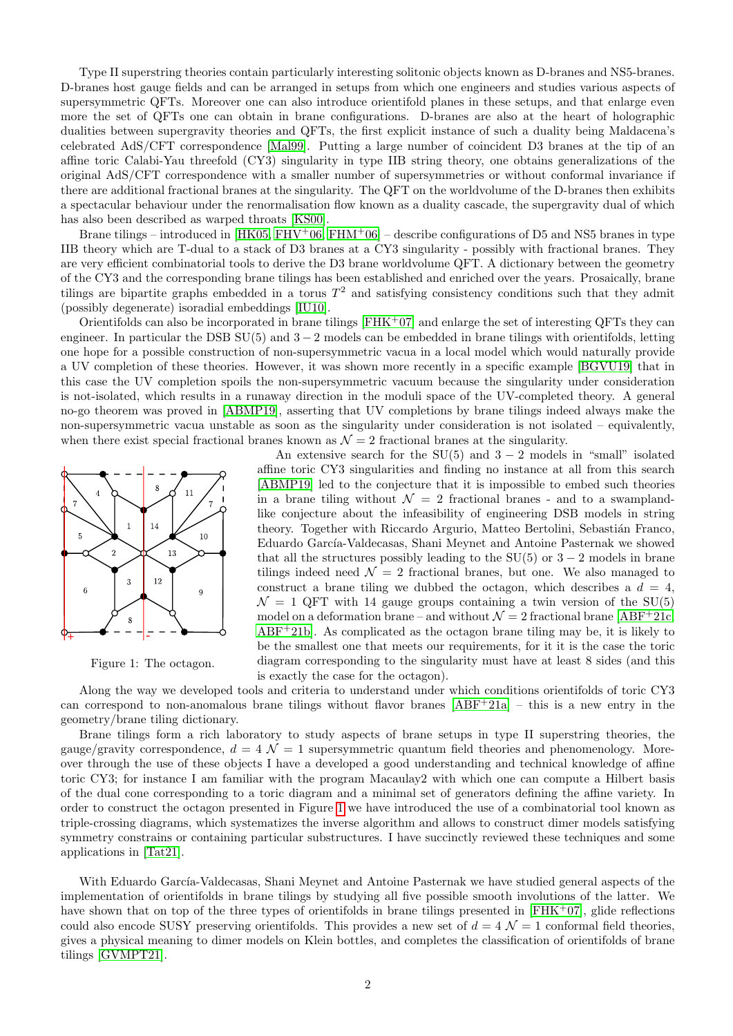Type II superstring theories contain particularly interesting solitonic objects known as D-branes and NS5-branes. D-branes host gauge fields and can be arranged in setups from which one engineers and studies various aspects of supersymmetric QFTs. Moreover one can also introduce orientifold planes in these setups, and that enlarge even more the set of QFTs one can obtain in brane configurations. D-branes are also at the heart of holographic dualities between supergravity theories and QFTs, the first explicit instance of such a duality being Maldacena's celebrated AdS/CFT correspondence [\[Mal99\]](#page-4-4). Putting a large number of coincident D3 branes at the tip of an affine toric Calabi-Yau threefold (CY3) singularity in type IIB string theory, one obtains generalizations of the original AdS/CFT correspondence with a smaller number of supersymmetries or without conformal invariance if there are additional fractional branes at the singularity. The QFT on the worldvolume of the D-branes then exhibits a spectacular behaviour under the renormalisation flow known as a duality cascade, the supergravity dual of which has also been described as warped throats [\[KS00\]](#page-4-5).

Brane tilings – introduced in  $[HK05, FHV^+06, FHM^+06]$  $[HK05, FHV^+06, FHM^+06]$  $[HK05, FHV^+06, FHM^+06]$  $[HK05, FHV^+06, FHM^+06]$  $[HK05, FHV^+06, FHM^+06]$  – describe configurations of D5 and NS5 branes in type IIB theory which are T-dual to a stack of D3 branes at a CY3 singularity - possibly with fractional branes. They are very efficient combinatorial tools to derive the D3 brane worldvolume QFT. A dictionary between the geometry of the CY3 and the corresponding brane tilings has been established and enriched over the years. Prosaically, brane tilings are bipartite graphs embedded in a torus  $T^2$  and satisfying consistency conditions such that they admit (possibly degenerate) isoradial embeddings [\[IU10\]](#page-4-9).

Orientifolds can also be incorporated in brane tilings  $[FHK^+07]$  $[FHK^+07]$  and enlarge the set of interesting QFTs they can engineer. In particular the DSB  $SU(5)$  and  $3-2$  models can be embedded in brane tilings with orientifolds, letting one hope for a possible construction of non-supersymmetric vacua in a local model which would naturally provide a UV completion of these theories. However, it was shown more recently in a specific example [\[BGVU19\]](#page-3-2) that in this case the UV completion spoils the non-supersymmetric vacuum because the singularity under consideration is not-isolated, which results in a runaway direction in the moduli space of the UV-completed theory. A general no-go theorem was proved in [\[ABMP19\]](#page-3-3), asserting that UV completions by brane tilings indeed always make the non-supersymmetric vacua unstable as soon as the singularity under consideration is not isolated – equivalently, when there exist special fractional branes known as  $\mathcal{N}=2$  fractional branes at the singularity.



<span id="page-1-0"></span>Figure 1: The octagon.

An extensive search for the  $SU(5)$  and  $3 - 2$  models in "small" isolated affine toric CY3 singularities and finding no instance at all from this search [\[ABMP19\]](#page-3-3) led to the conjecture that it is impossible to embed such theories in a brane tiling without  $\mathcal{N} = 2$  fractional branes - and to a swamplandlike conjecture about the infeasibility of engineering DSB models in string theory. Together with Riccardo Argurio, Matteo Bertolini, Sebastián Franco, Eduardo García-Valdecasas, Shani Meynet and Antoine Pasternak we showed that all the structures possibly leading to the  $SU(5)$  or  $3-2$  models in brane tilings indeed need  $\mathcal{N} = 2$  fractional branes, but one. We also managed to construct a brane tiling we dubbed the octagon, which describes a  $d = 4$ ,  $\mathcal{N} = 1$  QFT with 14 gauge groups containing a twin version of the SU(5) model on a deformation brane – and without  $\mathcal{N} = 2$  fractional brane [\[ABF](#page-3-4)<sup>+</sup>21c,  $ABF^+21b$  $ABF^+21b$ . As complicated as the octagon brane tiling may be, it is likely to be the smallest one that meets our requirements, for it it is the case the toric diagram corresponding to the singularity must have at least 8 sides (and this is exactly the case for the octagon).

Along the way we developed tools and criteria to understand under which conditions orientifolds of toric CY3 can correspond to non-anomalous brane tilings without flavor branes [\[ABF](#page-3-6)+21a] – this is a new entry in the geometry/brane tiling dictionary.

Brane tilings form a rich laboratory to study aspects of brane setups in type II superstring theories, the gauge/gravity correspondence,  $d = 4 \mathcal{N} = 1$  supersymmetric quantum field theories and phenomenology. Moreover through the use of these objects I have a developed a good understanding and technical knowledge of affine toric CY3; for instance I am familiar with the program Macaulay2 with which one can compute a Hilbert basis of the dual cone corresponding to a toric diagram and a minimal set of generators defining the affine variety. In order to construct the octagon presented in Figure [1](#page-1-0) we have introduced the use of a combinatorial tool known as triple-crossing diagrams, which systematizes the inverse algorithm and allows to construct dimer models satisfying symmetry constrains or containing particular substructures. I have succinctly reviewed these techniques and some applications in [\[Tat21\]](#page-4-11).

With Eduardo García-Valdecasas, Shani Meynet and Antoine Pasternak we have studied general aspects of the implementation of orientifolds in brane tilings by studying all five possible smooth involutions of the latter. We have shown that on top of the three types of orientifolds in brane tilings presented in  $[FHK^+07]$  $[FHK^+07]$ , glide reflections could also encode SUSY preserving orientifolds. This provides a new set of  $d = 4 \mathcal{N} = 1$  conformal field theories, gives a physical meaning to dimer models on Klein bottles, and completes the classification of orientifolds of brane tilings [\[GVMPT21\]](#page-4-12).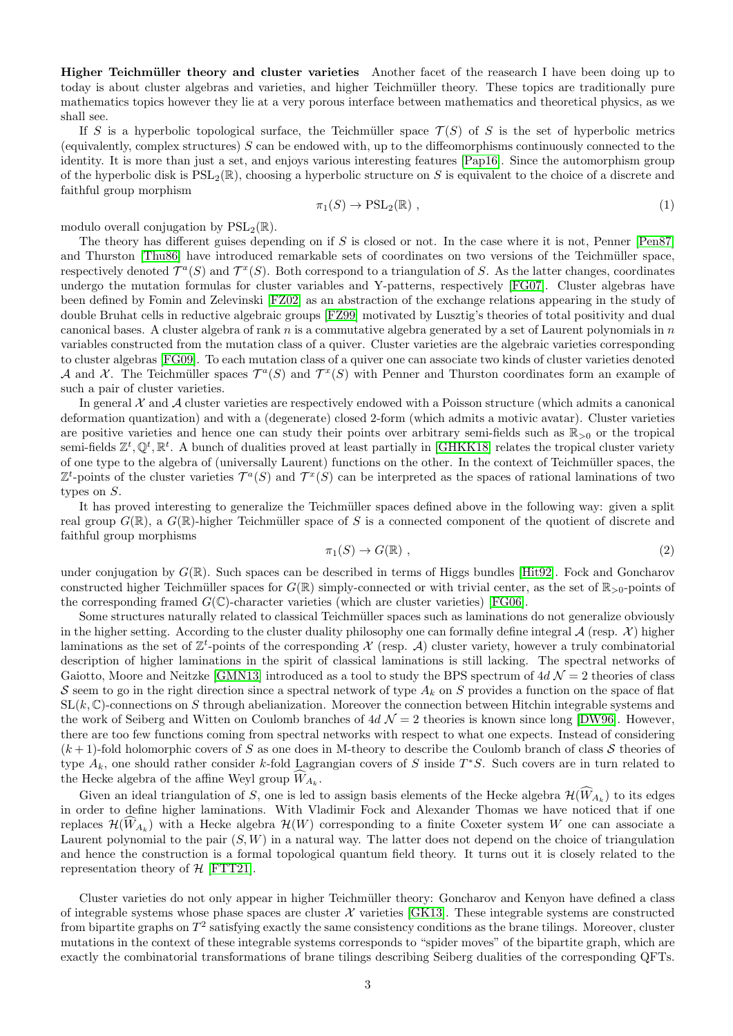Higher Teichmüller theory and cluster varieties Another facet of the reasearch I have been doing up to today is about cluster algebras and varieties, and higher Teichmüller theory. These topics are traditionally pure mathematics topics however they lie at a very porous interface between mathematics and theoretical physics, as we shall see.

If S is a hyperbolic topological surface, the Teichmüller space  $\mathcal{T}(S)$  of S is the set of hyperbolic metrics (equivalently, complex structures) S can be endowed with, up to the diffeomorphisms continuously connected to the identity. It is more than just a set, and enjoys various interesting features [\[Pap16\]](#page-4-13). Since the automorphism group of the hyperbolic disk is  $PSL_2(\mathbb{R})$ , choosing a hyperbolic structure on S is equivalent to the choice of a discrete and faithful group morphism

$$
\pi_1(S) \to \mathrm{PSL}_2(\mathbb{R}) \;, \tag{1}
$$

modulo overall conjugation by  $PSL_2(\mathbb{R})$ .

The theory has different guises depending on if S is closed or not. In the case where it is not, Penner  $[Pen87]$ and Thurston [\[Thu86\]](#page-4-15) have introduced remarkable sets of coordinates on two versions of the Teichmüller space, respectively denoted  $\mathcal{T}^a(S)$  and  $\mathcal{T}^x(S)$ . Both correspond to a triangulation of S. As the latter changes, coordinates undergo the mutation formulas for cluster variables and Y-patterns, respectively [\[FG07\]](#page-4-16). Cluster algebras have been defined by Fomin and Zelevinski [\[FZ02\]](#page-4-17) as an abstraction of the exchange relations appearing in the study of double Bruhat cells in reductive algebraic groups [\[FZ99\]](#page-4-18) motivated by Lusztig's theories of total positivity and dual canonical bases. A cluster algebra of rank  $n$  is a commutative algebra generated by a set of Laurent polynomials in  $n$ variables constructed from the mutation class of a quiver. Cluster varieties are the algebraic varieties corresponding to cluster algebras [\[FG09\]](#page-4-19). To each mutation class of a quiver one can associate two kinds of cluster varieties denoted A and X. The Teichmüller spaces  $\mathcal{T}^a(S)$  and  $\mathcal{T}^x(S)$  with Penner and Thurston coordinates form an example of such a pair of cluster varieties.

In general  $\mathcal X$  and  $\mathcal A$  cluster varieties are respectively endowed with a Poisson structure (which admits a canonical deformation quantization) and with a (degenerate) closed 2-form (which admits a motivic avatar). Cluster varieties are positive varieties and hence one can study their points over arbitrary semi-fields such as  $\mathbb{R}_{>0}$  or the tropical semi-fields  $\mathbb{Z}^t, \mathbb{Q}^t, \mathbb{R}^t$ . A bunch of dualities proved at least partially in [\[GHKK18\]](#page-4-20) relates the tropical cluster variety of one type to the algebra of (universally Laurent) functions on the other. In the context of Teichmüller spaces, the  $\mathbb{Z}^t$ -points of the cluster varieties  $\mathcal{T}^a(S)$  and  $\mathcal{T}^x(S)$  can be interpreted as the spaces of rational laminations of two types on S.

It has proved interesting to generalize the Teichmüller spaces defined above in the following way: given a split real group  $G(\mathbb{R})$ , a  $G(\mathbb{R})$ -higher Teichmüller space of S is a connected component of the quotient of discrete and faithful group morphisms

$$
\pi_1(S) \to G(\mathbb{R}) \tag{2}
$$

under conjugation by  $G(\mathbb{R})$ . Such spaces can be described in terms of Higgs bundles [\[Hit92\]](#page-4-21). Fock and Goncharov constructed higher Teichmüller spaces for  $G(\mathbb{R})$  simply-connected or with trivial center, as the set of  $\mathbb{R}_{\geq 0}$ -points of the corresponding framed  $G(\mathbb{C})$ -character varieties (which are cluster varieties) [\[FG06\]](#page-4-22).

Some structures naturally related to classical Teichmüller spaces such as laminations do not generalize obviously in the higher setting. According to the cluster duality philosophy one can formally define integral  $\mathcal A$  (resp.  $\mathcal X$ ) higher laminations as the set of  $\mathbb{Z}^t$ -points of the corresponding X (resp. A) cluster variety, however a truly combinatorial description of higher laminations in the spirit of classical laminations is still lacking. The spectral networks of Gaiotto, Moore and Neitzke [\[GMN13\]](#page-4-23) introduced as a tool to study the BPS spectrum of  $4dN = 2$  theories of class S seem to go in the right direction since a spectral network of type  $A_k$  on S provides a function on the space of flat  $SL(k, \mathbb{C})$ -connections on S through abelianization. Moreover the connection between Hitchin integrable systems and the work of Seiberg and Witten on Coulomb branches of  $4d \mathcal{N} = 2$  theories is known since long [\[DW96\]](#page-3-7). However, there are too few functions coming from spectral networks with respect to what one expects. Instead of considering  $(k+1)$ -fold holomorphic covers of S as one does in M-theory to describe the Coulomb branch of class S theories of type  $A_k$ , one should rather consider k-fold Lagrangian covers of S inside  $T^*S$ . Such covers are in turn related to the Hecke algebra of the affine Weyl group  $W_{A_k}$ .

Given an ideal triangulation of S, one is led to assign basis elements of the Hecke algebra  $\mathcal{H}(W_{A_k})$  to its edges in order to define higher laminations. With Vladimir Fock and Alexander Thomas we have noticed that if one replaces  $\mathcal{H}(W_{A_k})$  with a Hecke algebra  $\mathcal{H}(W)$  corresponding to a finite Coxeter system W one can associate a Laurent polynomial to the pair  $(S, W)$  in a natural way. The latter does not depend on the choice of triangulation and hence the construction is a formal topological quantum field theory. It turns out it is closely related to the representation theory of  $H$  [\[FTT21\]](#page-4-24).

Cluster varieties do not only appear in higher Teichmüller theory: Goncharov and Kenyon have defined a class of integrable systems whose phase spaces are cluster  $X$  varieties [\[GK13\]](#page-4-25). These integrable systems are constructed from bipartite graphs on  $T^2$  satisfying exactly the same consistency conditions as the brane tilings. Moreover, cluster mutations in the context of these integrable systems corresponds to "spider moves" of the bipartite graph, which are exactly the combinatorial transformations of brane tilings describing Seiberg dualities of the corresponding QFTs.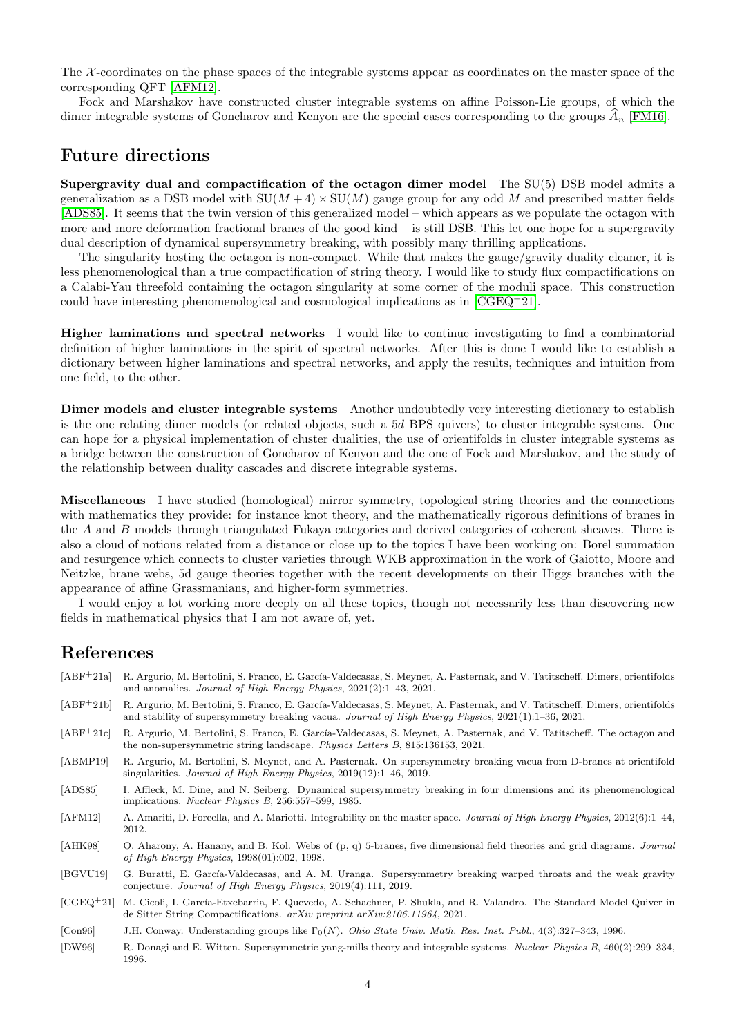The  $\mathcal{X}$ -coordinates on the phase spaces of the integrable systems appear as coordinates on the master space of the corresponding QFT [\[AFM12\]](#page-3-8).

Fock and Marshakov have constructed cluster integrable systems on affine Poisson-Lie groups, of which the dimer integrable systems of Goncharov and Kenyon are the special cases corresponding to the groups  $A_n$  [\[FM16\]](#page-4-26).

## Future directions

Supergravity dual and compactification of the octagon dimer model The SU(5) DSB model admits a generalization as a DSB model with  $SU(M + 4) \times SU(M)$  gauge group for any odd M and prescribed matter fields [\[ADS85\]](#page-3-1). It seems that the twin version of this generalized model – which appears as we populate the octagon with more and more deformation fractional branes of the good kind – is still DSB. This let one hope for a supergravity dual description of dynamical supersymmetry breaking, with possibly many thrilling applications.

The singularity hosting the octagon is non-compact. While that makes the gauge/gravity duality cleaner, it is less phenomenological than a true compactification of string theory. I would like to study flux compactifications on a Calabi-Yau threefold containing the octagon singularity at some corner of the moduli space. This construction could have interesting phenomenological and cosmological implications as in  $[CGEQ+21]$  $[CGEQ+21]$ .

Higher laminations and spectral networks I would like to continue investigating to find a combinatorial definition of higher laminations in the spirit of spectral networks. After this is done I would like to establish a dictionary between higher laminations and spectral networks, and apply the results, techniques and intuition from one field, to the other.

Dimer models and cluster integrable systems Another undoubtedly very interesting dictionary to establish is the one relating dimer models (or related objects, such a 5d BPS quivers) to cluster integrable systems. One can hope for a physical implementation of cluster dualities, the use of orientifolds in cluster integrable systems as a bridge between the construction of Goncharov of Kenyon and the one of Fock and Marshakov, and the study of the relationship between duality cascades and discrete integrable systems.

Miscellaneous I have studied (homological) mirror symmetry, topological string theories and the connections with mathematics they provide: for instance knot theory, and the mathematically rigorous definitions of branes in the A and B models through triangulated Fukaya categories and derived categories of coherent sheaves. There is also a cloud of notions related from a distance or close up to the topics I have been working on: Borel summation and resurgence which connects to cluster varieties through WKB approximation in the work of Gaiotto, Moore and Neitzke, brane webs, 5d gauge theories together with the recent developments on their Higgs branches with the appearance of affine Grassmanians, and higher-form symmetries.

I would enjoy a lot working more deeply on all these topics, though not necessarily less than discovering new fields in mathematical physics that I am not aware of, yet.

## References

- <span id="page-3-6"></span>[ABF<sup>+</sup>21a] R. Argurio, M. Bertolini, S. Franco, E. García-Valdecasas, S. Meynet, A. Pasternak, and V. Tatitscheff. Dimers, orientifolds and anomalies. Journal of High Energy Physics, 2021(2):1–43, 2021.
- <span id="page-3-5"></span>[ABF<sup>+</sup>21b] R. Argurio, M. Bertolini, S. Franco, E. García-Valdecasas, S. Meynet, A. Pasternak, and V. Tatitscheff. Dimers, orientifolds and stability of supersymmetry breaking vacua. Journal of High Energy Physics, 2021(1):1–36, 2021.
- <span id="page-3-4"></span>[ABF<sup>+</sup>21c] R. Argurio, M. Bertolini, S. Franco, E. García-Valdecasas, S. Meynet, A. Pasternak, and V. Tatitscheff. The octagon and the non-supersymmetric string landscape. Physics Letters B, 815:136153, 2021.
- <span id="page-3-3"></span>[ABMP19] R. Argurio, M. Bertolini, S. Meynet, and A. Pasternak. On supersymmetry breaking vacua from D-branes at orientifold singularities. Journal of High Energy Physics, 2019(12):1–46, 2019.
- <span id="page-3-1"></span>[ADS85] I. Affleck, M. Dine, and N. Seiberg. Dynamical supersymmetry breaking in four dimensions and its phenomenological implications. Nuclear Physics B, 256:557–599, 1985.
- <span id="page-3-8"></span>[AFM12] A. Amariti, D. Forcella, and A. Mariotti. Integrability on the master space. Journal of High Energy Physics, 2012(6):1–44, 2012.
- [AHK98] O. Aharony, A. Hanany, and B. Kol. Webs of  $(p, q)$  5-branes, five dimensional field theories and grid diagrams. Journal of High Energy Physics, 1998(01):002, 1998.
- <span id="page-3-2"></span>[BGVU19] G. Buratti, E. García-Valdecasas, and A. M. Uranga. Supersymmetry breaking warped throats and the weak gravity conjecture. Journal of High Energy Physics, 2019(4):111, 2019.
- <span id="page-3-9"></span>[CGEQ<sup>+</sup>21] M. Cicoli, I. García-Etxebarria, F. Quevedo, A. Schachner, P. Shukla, and R. Valandro. The Standard Model Quiver in de Sitter String Compactifications. arXiv preprint arXiv:2106.11964, 2021.
- <span id="page-3-0"></span>[Con96] J.H. Conway. Understanding groups like  $\Gamma_0(N)$ . Ohio State Univ. Math. Res. Inst. Publ., 4(3):327–343, 1996.
- <span id="page-3-7"></span>[DW96] R. Donagi and E. Witten. Supersymmetric yang-mills theory and integrable systems. Nuclear Physics B, 460(2):299–334, 1996.